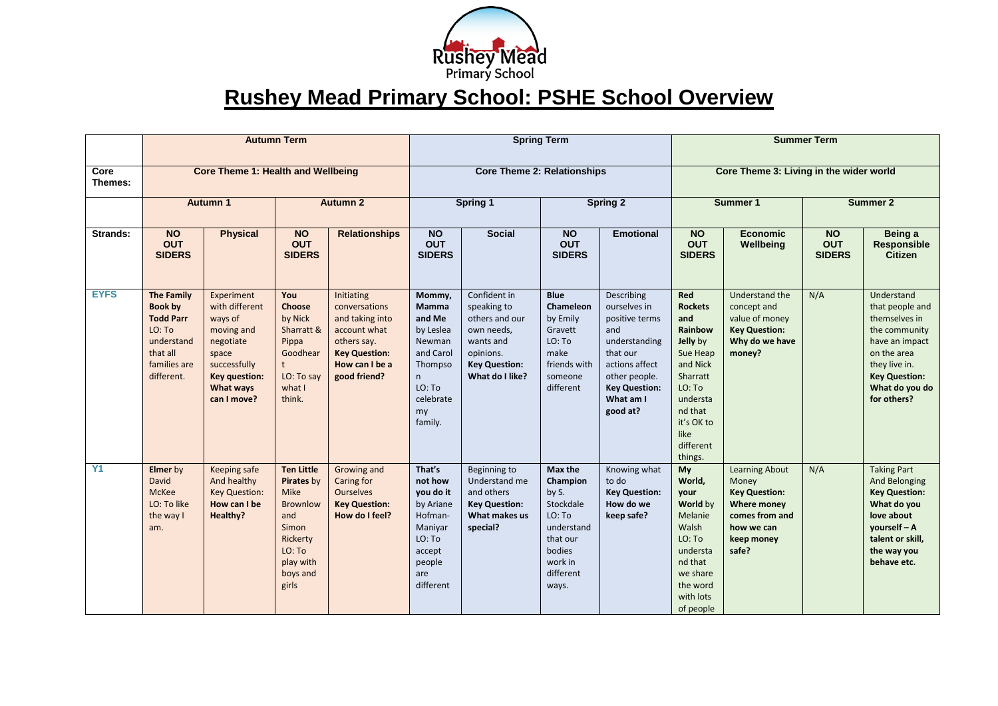

## **Rushey Mead Primary School: PSHE School Overview**

|                 | <b>Autumn Term</b><br><b>Core Theme 1: Health and Wellbeing</b>                                                           |                                                                                                                                                 |                                                                                                                                           |                                                                                                                                         | <b>Spring Term</b><br><b>Core Theme 2: Relationships</b>                                                                     |                                                                                                                                  |                                                                                                                          |                                                                                                                                                                      | <b>Summer Term</b><br>Core Theme 3: Living in the wider world                                                                                                          |                                                                                                                                     |                                          |                                                                                                                                                                            |
|-----------------|---------------------------------------------------------------------------------------------------------------------------|-------------------------------------------------------------------------------------------------------------------------------------------------|-------------------------------------------------------------------------------------------------------------------------------------------|-----------------------------------------------------------------------------------------------------------------------------------------|------------------------------------------------------------------------------------------------------------------------------|----------------------------------------------------------------------------------------------------------------------------------|--------------------------------------------------------------------------------------------------------------------------|----------------------------------------------------------------------------------------------------------------------------------------------------------------------|------------------------------------------------------------------------------------------------------------------------------------------------------------------------|-------------------------------------------------------------------------------------------------------------------------------------|------------------------------------------|----------------------------------------------------------------------------------------------------------------------------------------------------------------------------|
| Core<br>Themes: |                                                                                                                           |                                                                                                                                                 |                                                                                                                                           |                                                                                                                                         |                                                                                                                              |                                                                                                                                  |                                                                                                                          |                                                                                                                                                                      |                                                                                                                                                                        |                                                                                                                                     |                                          |                                                                                                                                                                            |
|                 | <b>Autumn 1</b>                                                                                                           |                                                                                                                                                 | <b>Autumn 2</b>                                                                                                                           |                                                                                                                                         | <b>Spring 1</b>                                                                                                              |                                                                                                                                  | <b>Spring 2</b>                                                                                                          |                                                                                                                                                                      | <b>Summer 1</b>                                                                                                                                                        |                                                                                                                                     | Summer 2                                 |                                                                                                                                                                            |
| Strands:        | <b>NO</b><br><b>OUT</b><br><b>SIDERS</b>                                                                                  | <b>Physical</b>                                                                                                                                 | <b>NO</b><br><b>OUT</b><br><b>SIDERS</b>                                                                                                  | <b>Relationships</b>                                                                                                                    | $\overline{NQ}$<br><b>OUT</b><br><b>SIDERS</b>                                                                               | <b>Social</b>                                                                                                                    | <b>NO</b><br><b>OUT</b><br><b>SIDERS</b>                                                                                 | <b>Emotional</b>                                                                                                                                                     | <b>NO</b><br><b>OUT</b><br><b>SIDERS</b>                                                                                                                               | <b>Economic</b><br>Wellbeing                                                                                                        | <b>NO</b><br><b>OUT</b><br><b>SIDERS</b> | Being a<br><b>Responsible</b><br>Citizen                                                                                                                                   |
| <b>EYFS</b>     | <b>The Family</b><br><b>Book by</b><br><b>Todd Parr</b><br>LO: To<br>understand<br>that all<br>families are<br>different. | Experiment<br>with different<br>ways of<br>moving and<br>negotiate<br>space<br>successfully<br><b>Key question:</b><br>What ways<br>can I move? | You<br>Choose<br>by Nick<br>Sharratt &<br>Pippa<br>Goodhear<br>$\mathsf{t}$<br>LO: To say<br>what I<br>think.                             | Initiating<br>conversations<br>and taking into<br>account what<br>others say.<br><b>Key Question:</b><br>How can I be a<br>good friend? | Mommy,<br><b>Mamma</b><br>and Me<br>by Leslea<br>Newman<br>and Carol<br>Thompso<br>n<br>LO: To<br>celebrate<br>my<br>family. | Confident in<br>speaking to<br>others and our<br>own needs,<br>wants and<br>opinions.<br><b>Key Question:</b><br>What do I like? | <b>Blue</b><br>Chameleon<br>by Emily<br>Gravett<br>LO: To<br>make<br>friends with<br>someone<br>different                | Describing<br>ourselves in<br>positive terms<br>and<br>understanding<br>that our<br>actions affect<br>other people.<br><b>Key Question:</b><br>What am I<br>good at? | Red<br><b>Rockets</b><br>and<br>Rainbow<br>Jelly by<br>Sue Heap<br>and Nick<br>Sharratt<br>LO: To<br>understa<br>nd that<br>it's OK to<br>like<br>different<br>things. | Understand the<br>concept and<br>value of money<br><b>Key Question:</b><br>Why do we have<br>money?                                 | N/A                                      | Understand<br>that people and<br>themselves in<br>the community<br>have an impact<br>on the area<br>they live in.<br><b>Key Question:</b><br>What do you do<br>for others? |
| Y1              | <b>Elmer</b> by<br><b>David</b><br>McKee<br>LO: To like<br>the way I<br>am.                                               | Keeping safe<br>And healthy<br><b>Key Question:</b><br>How can I be<br>Healthy?                                                                 | <b>Ten Little</b><br>Pirates by<br><b>Mike</b><br><b>Brownlow</b><br>and<br>Simon<br>Rickerty<br>LO: To<br>play with<br>boys and<br>girls | Growing and<br>Caring for<br><b>Ourselves</b><br><b>Key Question:</b><br>How do I feel?                                                 | That's<br>not how<br>you do it<br>by Ariane<br>Hofman-<br>Maniyar<br>LO: To<br>accept<br>people<br>are<br>different          | Beginning to<br>Understand me<br>and others<br><b>Key Question:</b><br>What makes us<br>special?                                 | Max the<br>Champion<br>by S.<br>Stockdale<br>LO: To<br>understand<br>that our<br>bodies<br>work in<br>different<br>ways. | Knowing what<br>to do<br><b>Key Question:</b><br>How do we<br>keep safe?                                                                                             | My<br>World,<br>your<br>World by<br>Melanie<br>Walsh<br>LO: To<br>understa<br>nd that<br>we share<br>the word<br>with lots<br>of people                                | <b>Learning About</b><br>Money<br><b>Key Question:</b><br><b>Where money</b><br>comes from and<br>how we can<br>keep money<br>safe? | N/A                                      | <b>Taking Part</b><br>And Belonging<br><b>Key Question:</b><br>What do you<br>love about<br>yourself - A<br>talent or skill,<br>the way you<br>behave etc.                 |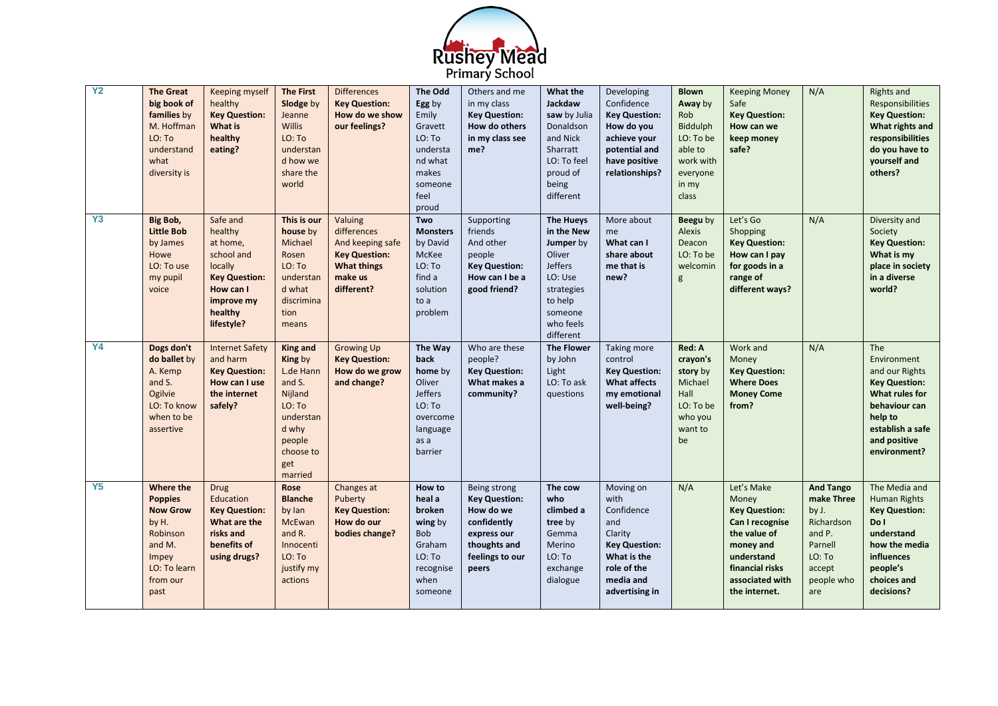

| <b>Y2</b> | <b>The Great</b><br>big book of<br>families by<br>M. Hoffman<br>LO: To<br>understand<br>what<br>diversity is               | Keeping myself<br>healthy<br><b>Key Question:</b><br><b>What is</b><br>healthy<br>eating?                                            | <b>The First</b><br>Slodge by<br>Jeanne<br><b>Willis</b><br>LO: To<br>understan<br>d how we<br>share the<br>world              | <b>Differences</b><br><b>Key Question:</b><br>How do we show<br>our feelings?                                     | <b>The Odd</b><br>Egg by<br>Emily<br>Gravett<br>LO: To<br>understa<br>nd what<br>makes<br>someone<br>feel<br>proud | Others and me<br>in my class<br><b>Key Question:</b><br>How do others<br>in my class see<br>me?                             | What the<br><b>Jackdaw</b><br>saw by Julia<br>Donaldson<br>and Nick<br>Sharratt<br>LO: To feel<br>proud of<br>being<br>different          | Developing<br>Confidence<br><b>Key Question:</b><br>How do you<br>achieve your<br>potential and<br>have positive<br>relationships?     | <b>Blown</b><br>Away by<br>Rob<br><b>Biddulph</b><br>LO: To be<br>able to<br>work with<br>everyone<br>in my<br>class | <b>Keeping Money</b><br>Safe<br><b>Key Question:</b><br>How can we<br>keep money<br>safe?                                                                        | N/A                                                                                                                 | <b>Rights and</b><br>Responsibilities<br><b>Key Question:</b><br>What rights and<br>responsibilities<br>do you have to<br>yourself and<br>others?              |
|-----------|----------------------------------------------------------------------------------------------------------------------------|--------------------------------------------------------------------------------------------------------------------------------------|--------------------------------------------------------------------------------------------------------------------------------|-------------------------------------------------------------------------------------------------------------------|--------------------------------------------------------------------------------------------------------------------|-----------------------------------------------------------------------------------------------------------------------------|-------------------------------------------------------------------------------------------------------------------------------------------|----------------------------------------------------------------------------------------------------------------------------------------|----------------------------------------------------------------------------------------------------------------------|------------------------------------------------------------------------------------------------------------------------------------------------------------------|---------------------------------------------------------------------------------------------------------------------|----------------------------------------------------------------------------------------------------------------------------------------------------------------|
| Y3        | Big Bob,<br><b>Little Bob</b><br>by James<br>Howe<br>LO: To use<br>my pupil<br>voice                                       | Safe and<br>healthy<br>at home,<br>school and<br>locally<br><b>Key Question:</b><br>How can I<br>improve my<br>healthy<br>lifestyle? | This is our<br>house by<br>Michael<br>Rosen<br>LO: To<br>understan<br>d what<br>discrimina<br>tion<br>means                    | Valuing<br>differences<br>And keeping safe<br><b>Key Question:</b><br><b>What things</b><br>make us<br>different? | Two<br><b>Monsters</b><br>by David<br>McKee<br>LO: To<br>find a<br>solution<br>to a<br>problem                     | Supporting<br>friends<br>And other<br>people<br>Key Question:<br>How can I be a<br>good friend?                             | The Hueys<br>in the New<br>Jumper by<br>Oliver<br><b>Jeffers</b><br>LO: Use<br>strategies<br>to help<br>someone<br>who feels<br>different | More about<br>me<br>What can I<br>share about<br>me that is<br>new?                                                                    | Beegu by<br><b>Alexis</b><br>Deacon<br>LO: To be<br>welcomin<br>g                                                    | Let's Go<br>Shopping<br><b>Key Question:</b><br>How can I pay<br>for goods in a<br>range of<br>different ways?                                                   | N/A                                                                                                                 | Diversity and<br>Society<br><b>Key Question:</b><br>What is my<br>place in society<br>in a diverse<br>world?                                                   |
| <b>Y4</b> | Dogs don't<br>do ballet by<br>A. Kemp<br>and S.<br>Ogilvie<br>LO: To know<br>when to be<br>assertive                       | <b>Internet Safety</b><br>and harm<br><b>Key Question:</b><br>How can I use<br>the internet<br>safely?                               | King and<br>King by<br>L.de Hann<br>and S.<br>Nijland<br>LO: To<br>understan<br>d why<br>people<br>choose to<br>get<br>married | <b>Growing Up</b><br><b>Key Question:</b><br>How do we grow<br>and change?                                        | The Way<br>back<br>home by<br>Oliver<br><b>Jeffers</b><br>LO: To<br>overcome<br>language<br>as a<br>barrier        | Who are these<br>people?<br><b>Key Question:</b><br>What makes a<br>community?                                              | <b>The Flower</b><br>by John<br>Light<br>LO: To ask<br>questions                                                                          | Taking more<br>control<br><b>Key Question:</b><br><b>What affects</b><br>my emotional<br>well-being?                                   | Red: A<br>crayon's<br>story by<br>Michael<br>Hall<br>LO: To be<br>who you<br>want to<br>be                           | Work and<br>Money<br><b>Key Question:</b><br><b>Where Does</b><br><b>Money Come</b><br>from?                                                                     | N/A                                                                                                                 | The<br>Environment<br>and our Rights<br><b>Key Question:</b><br>What rules for<br>behaviour can<br>help to<br>establish a safe<br>and positive<br>environment? |
| Y5        | Where the<br><b>Poppies</b><br><b>Now Grow</b><br>by H.<br>Robinson<br>and M.<br>Impey<br>LO: To learn<br>from our<br>past | <b>Drug</b><br>Education<br><b>Key Question:</b><br>What are the<br>risks and<br>benefits of<br>using drugs?                         | <b>Rose</b><br><b>Blanche</b><br>by lan<br>McEwan<br>and R.<br>Innocenti<br>LO: To<br>justify my<br>actions                    | Changes at<br>Puberty<br><b>Key Question:</b><br>How do our<br>bodies change?                                     | How to<br>heal a<br>broken<br>wing by<br><b>Bob</b><br>Graham<br>LO: To<br>recognise<br>when<br>someone            | Being strong<br><b>Key Question:</b><br>How do we<br>confidently<br>express our<br>thoughts and<br>feelings to our<br>peers | The cow<br>who<br>climbed a<br>tree by<br>Gemma<br>Merino<br>LO: To<br>exchange<br>dialogue                                               | Moving on<br>with<br>Confidence<br>and<br>Clarity<br><b>Key Question:</b><br>What is the<br>role of the<br>media and<br>advertising in | N/A                                                                                                                  | Let's Make<br>Money<br><b>Key Question:</b><br>Can I recognise<br>the value of<br>money and<br>understand<br>financial risks<br>associated with<br>the internet. | <b>And Tango</b><br>make Three<br>by J.<br>Richardson<br>and P.<br>Parnell<br>LO: To<br>accept<br>people who<br>are | The Media and<br><b>Human Rights</b><br><b>Key Question:</b><br>Do I<br>understand<br>how the media<br>influences<br>people's<br>choices and<br>decisions?     |